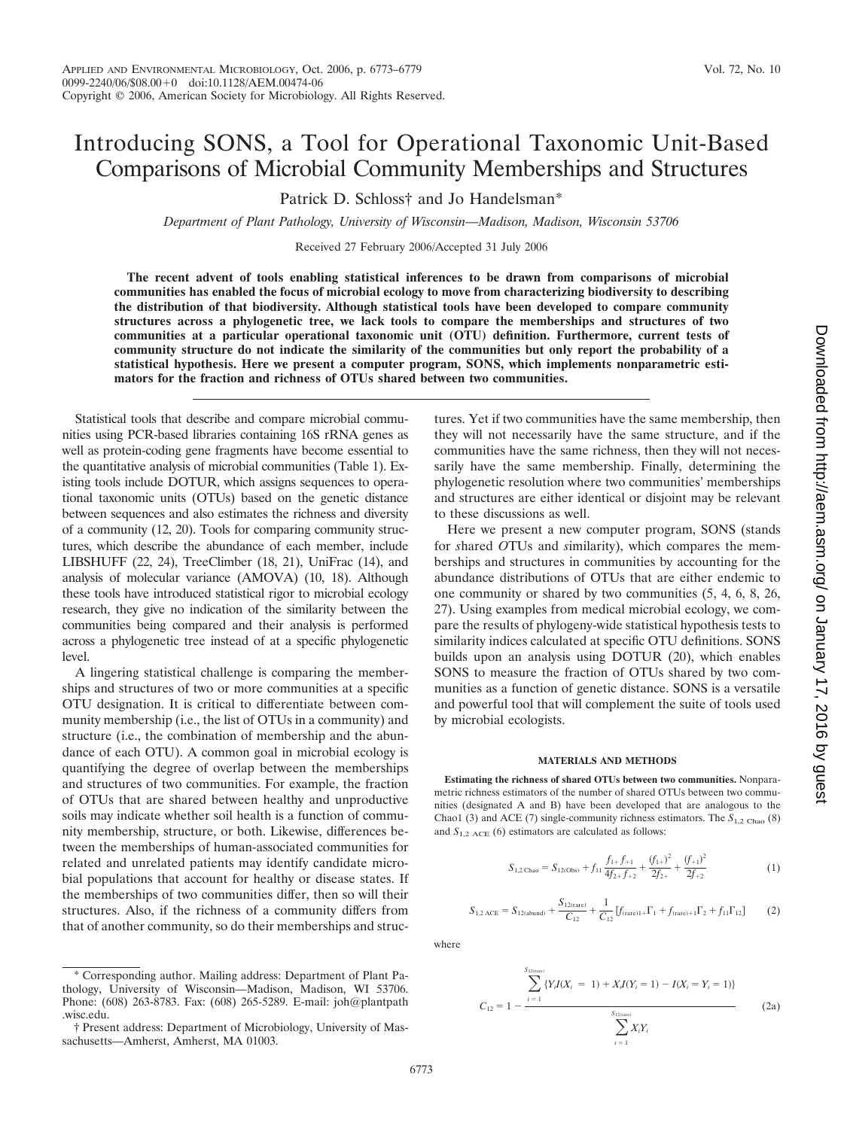# Introducing SONS, a Tool for Operational Taxonomic Unit-Based Comparisons of Microbial Community Memberships and Structures

Patrick D. Schloss† and Jo Handelsman\*

*Department of Plant Pathology, University of Wisconsin—Madison, Madison, Wisconsin 53706*

Received 27 February 2006/Accepted 31 July 2006

**The recent advent of tools enabling statistical inferences to be drawn from comparisons of microbial communities has enabled the focus of microbial ecology to move from characterizing biodiversity to describing the distribution of that biodiversity. Although statistical tools have been developed to compare community structures across a phylogenetic tree, we lack tools to compare the memberships and structures of two communities at a particular operational taxonomic unit (OTU) definition. Furthermore, current tests of community structure do not indicate the similarity of the communities but only report the probability of a statistical hypothesis. Here we present a computer program, SONS, which implements nonparametric estimators for the fraction and richness of OTUs shared between two communities.**

Statistical tools that describe and compare microbial communities using PCR-based libraries containing 16S rRNA genes as well as protein-coding gene fragments have become essential to the quantitative analysis of microbial communities (Table 1). Existing tools include DOTUR, which assigns sequences to operational taxonomic units (OTUs) based on the genetic distance between sequences and also estimates the richness and diversity of a community (12, 20). Tools for comparing community structures, which describe the abundance of each member, include LIBSHUFF (22, 24), TreeClimber (18, 21), UniFrac (14), and analysis of molecular variance (AMOVA) (10, 18). Although these tools have introduced statistical rigor to microbial ecology research, they give no indication of the similarity between the communities being compared and their analysis is performed across a phylogenetic tree instead of at a specific phylogenetic level.

A lingering statistical challenge is comparing the memberships and structures of two or more communities at a specific OTU designation. It is critical to differentiate between community membership (i.e., the list of OTUs in a community) and structure (i.e., the combination of membership and the abundance of each OTU). A common goal in microbial ecology is quantifying the degree of overlap between the memberships and structures of two communities. For example, the fraction of OTUs that are shared between healthy and unproductive soils may indicate whether soil health is a function of community membership, structure, or both. Likewise, differences between the memberships of human-associated communities for related and unrelated patients may identify candidate microbial populations that account for healthy or disease states. If the memberships of two communities differ, then so will their structures. Also, if the richness of a community differs from that of another community, so do their memberships and structures. Yet if two communities have the same membership, then they will not necessarily have the same structure, and if the communities have the same richness, then they will not necessarily have the same membership. Finally, determining the phylogenetic resolution where two communities' memberships and structures are either identical or disjoint may be relevant to these discussions as well.

Here we present a new computer program, SONS (stands for *s*hared *O*TUs and *s*imilarity), which compares the memberships and structures in communities by accounting for the abundance distributions of OTUs that are either endemic to one community or shared by two communities (5, 4, 6, 8, 26, 27). Using examples from medical microbial ecology, we compare the results of phylogeny-wide statistical hypothesis tests to similarity indices calculated at specific OTU definitions. SONS builds upon an analysis using DOTUR (20), which enables SONS to measure the fraction of OTUs shared by two communities as a function of genetic distance. SONS is a versatile and powerful tool that will complement the suite of tools used by microbial ecologists.

### **MATERIALS AND METHODS**

**Estimating the richness of shared OTUs between two communities.** Nonparametric richness estimators of the number of shared OTUs between two communities (designated A and B) have been developed that are analogous to the Chao1 (3) and ACE (7) single-community richness estimators. The  $S_{1,2 \text{ Chao}}$  (8) and  $S_{1,2 ACE}$  (6) estimators are calculated as follows:

$$
S_{1,2 \text{ Chao}} = S_{12(\text{Obs})} + f_{11} \frac{f_{1+} f_{+1}}{4 f_{2+} f_{+2}} + \frac{(f_{1+})^2}{2 f_{2+}} + \frac{(f_{+1})^2}{2 f_{+2}}
$$
(1)

$$
S_{1,2 \text{ ACE}} = S_{12 \text{(abund)}} + \frac{S_{12 \text{(rare)}}}{C_{12}} + \frac{1}{C_{12}} [f_{\text{(rare)}1} + \Gamma_1 + f_{\text{(rare)}+1} \Gamma_2 + f_{11} \Gamma_{12}] \tag{2}
$$

where

$$
C_{12} = 1 - \frac{\sum_{i=1}^{S_{12(nne)}} \{Y_i I(X_i = 1) + X_i I(Y_i = 1) - I(X_i = Y_i = 1)\}}{\sum_{i=1}^{S_{12(nne)}} X_i Y_i}
$$
(2a)

<sup>\*</sup> Corresponding author. Mailing address: Department of Plant Pathology, University of Wisconsin—Madison, Madison, WI 53706. Phone: (608) 263-8783. Fax: (608) 265-5289. E-mail: joh@plantpath .wisc.edu.

<sup>†</sup> Present address: Department of Microbiology, University of Massachusetts—Amherst, Amherst, MA 01003.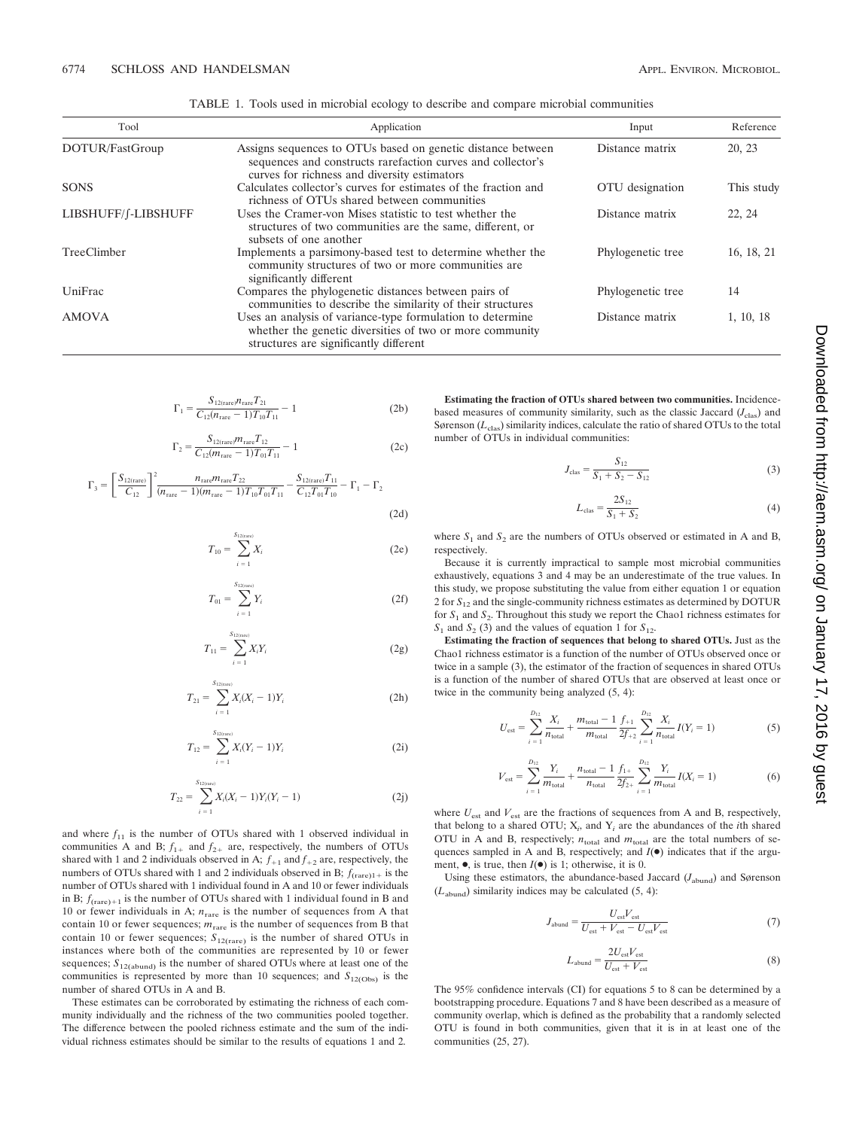| Tool                | Application                                                                                                                                                                |                   | Reference  |  |
|---------------------|----------------------------------------------------------------------------------------------------------------------------------------------------------------------------|-------------------|------------|--|
| DOTUR/FastGroup     | Assigns sequences to OTUs based on genetic distance between<br>sequences and constructs rarefaction curves and collector's<br>curves for richness and diversity estimators | Distance matrix   | 20, 23     |  |
| <b>SONS</b>         | Calculates collector's curves for estimates of the fraction and<br>richness of OTUs shared between communities                                                             | OTU designation   | This study |  |
| LIBSHUFF/f-LIBSHUFF | Uses the Cramer-von Mises statistic to test whether the<br>structures of two communities are the same, different, or<br>subsets of one another                             | Distance matrix   | 22, 24     |  |
| TreeClimber         | Implements a parsimony-based test to determine whether the<br>community structures of two or more communities are<br>significantly different                               | Phylogenetic tree | 16, 18, 21 |  |
| UniFrac             | Compares the phylogenetic distances between pairs of<br>communities to describe the similarity of their structures                                                         | Phylogenetic tree | 14         |  |
| <b>AMOVA</b>        | Uses an analysis of variance-type formulation to determine<br>whether the genetic diversities of two or more community<br>structures are significantly different           | Distance matrix   | 1, 10, 18  |  |

TABLE 1. Tools used in microbial ecology to describe and compare microbial communities

$$
\Gamma_1 = \frac{S_{12(\text{rare})} n_{\text{rare}} T_{21}}{C_{12}(n_{\text{rare}} - 1) T_{10} T_{11}} - 1
$$
\n(2b)

$$
\Gamma_2 = \frac{S_{12(\text{rare})} m_{\text{rare}} T_{12}}{C_{12}(m_{\text{rare}} - 1) T_{01} T_{11}} - 1
$$
\n(2c)

$$
\Gamma_3 = \left[\frac{S_{12\text{(rare)}}}{C_{12}}\right]^2 \frac{n_{\text{rare}} m_{\text{rare}} T_{22}}{(n_{\text{rare}} - 1)(m_{\text{rare}} - 1)T_{10}T_{01}T_{11}} - \frac{S_{12\text{(rare)}} T_{11}}{C_{12}T_{01}T_{10}} - \Gamma_1 - \Gamma_2
$$
\n(2d)

$$
T_{10} = \sum_{i=1}^{S_{12(\text{rare})}} X_i
$$
 (2e)

$$
T_{01} = \sum_{i=1}^{S_{12(nav)}} Y_i
$$
 (2f)

$$
T_{11} = \sum_{i=1}^{S_{12(nre)}} X_i Y_i
$$
 (2g)

$$
T_{21} = \sum_{i=1}^{S_{12(nne)}} X_i (X_i - 1) Y_i
$$
 (2h)

$$
T_{12} = \sum_{i=1}^{S_{12(n\pi e)}} X_i (Y_i - 1) Y_i
$$
 (2i)

$$
T_{22} = \sum_{i=1}^{S_{12(\text{true})}} X_i (X_i - 1) Y_i (Y_i - 1)
$$
 (2j)

and where  $f_{11}$  is the number of OTUs shared with 1 observed individual in communities A and B;  $f_{1+}$  and  $f_{2+}$  are, respectively, the numbers of OTUs shared with 1 and 2 individuals observed in A;  $f_{+1}$  and  $f_{+2}$  are, respectively, the numbers of OTUs shared with 1 and 2 individuals observed in B;  $f_{\text{(rare)}1+}$  is the number of OTUs shared with 1 individual found in A and 10 or fewer individuals in B;  $f_{(\text{rare})+1}$  is the number of OTUs shared with 1 individual found in B and 10 or fewer individuals in A; *n*rare is the number of sequences from A that contain 10 or fewer sequences;  $m<sub>rare</sub>$  is the number of sequences from B that contain 10 or fewer sequences;  $S_{12$ (rare) is the number of shared OTUs in instances where both of the communities are represented by 10 or fewer sequences;  $S_{12(\text{abund})}$  is the number of shared OTUs where at least one of the communities is represented by more than 10 sequences; and  $S_{12(Obs)}$  is the number of shared OTUs in A and B.

These estimates can be corroborated by estimating the richness of each community individually and the richness of the two communities pooled together. The difference between the pooled richness estimate and the sum of the individual richness estimates should be similar to the results of equations 1 and 2.

**Estimating the fraction of OTUs shared between two communities.** Incidencebased measures of community similarity, such as the classic Jaccard  $(J<sub>clas</sub>)$  and Sørenson (*L*clas) similarity indices, calculate the ratio of shared OTUs to the total number of OTUs in individual communities:

$$
J_{\text{clas}} = \frac{S_{12}}{S_1 + S_2 - S_{12}}\tag{3}
$$

$$
L_{\text{clas}} = \frac{2S_{12}}{S_1 + S_2} \tag{4}
$$

where  $S_1$  and  $S_2$  are the numbers of OTUs observed or estimated in A and B, respectively.

Because it is currently impractical to sample most microbial communities exhaustively, equations 3 and 4 may be an underestimate of the true values. In this study, we propose substituting the value from either equation 1 or equation 2 for *S*<sup>12</sup> and the single-community richness estimates as determined by DOTUR for *S*<sup>1</sup> and *S*2. Throughout this study we report the Chao1 richness estimates for  $S_1$  and  $S_2$  (3) and the values of equation 1 for  $S_{12}$ .

**Estimating the fraction of sequences that belong to shared OTUs.** Just as the Chao1 richness estimator is a function of the number of OTUs observed once or twice in a sample (3), the estimator of the fraction of sequences in shared OTUs is a function of the number of shared OTUs that are observed at least once or twice in the community being analyzed (5, 4):

$$
U_{\text{est}} = \sum_{i=1}^{D_{12}} \frac{X_i}{n_{\text{total}}} + \frac{m_{\text{total}} - 1}{m_{\text{total}}} \frac{f_{+1}}{2f_{+2}} \sum_{i=1}^{D_{12}} \frac{X_i}{n_{\text{total}}} I(Y_i = 1)
$$
(5)

$$
V_{\text{est}} = \sum_{i=1}^{D_{12}} \frac{Y_i}{m_{\text{total}}} + \frac{n_{\text{total}} - 1}{n_{\text{total}}} \frac{f_{1+}}{2f_{2+}} \sum_{i=1}^{D_{12}} \frac{Y_i}{m_{\text{total}}} I(X_i = 1)
$$
(6)

where  $U_{\text{est}}$  and  $V_{\text{est}}$  are the fractions of sequences from A and B, respectively, that belong to a shared OTU; X*<sup>i</sup>* , and Y*<sup>i</sup>* are the abundances of the *i*th shared OTU in A and B, respectively;  $n_{\text{total}}$  and  $m_{\text{total}}$  are the total numbers of sequences sampled in A and B, respectively; and  $I(\bullet)$  indicates that if the argument,  $\bullet$ , is true, then  $I(\bullet)$  is 1; otherwise, it is 0.

Using these estimators, the abundance-based Jaccard (*J*<sub>abund</sub>) and Sørenson  $(L_{\text{abund}})$  similarity indices may be calculated  $(5, 4)$ :

$$
J_{\text{abund}} = \frac{U_{\text{est}} V_{\text{est}}}{U_{\text{est}} + V_{\text{est}} - U_{\text{est}} V_{\text{est}}}
$$
(7)

$$
L_{\text{abund}} = \frac{2U_{\text{est}}V_{\text{est}}}{U_{\text{est}} + V_{\text{est}}}
$$
(8)

The 95% confidence intervals (CI) for equations 5 to 8 can be determined by a bootstrapping procedure. Equations 7 and 8 have been described as a measure of community overlap, which is defined as the probability that a randomly selected OTU is found in both communities, given that it is in at least one of the communities (25, 27).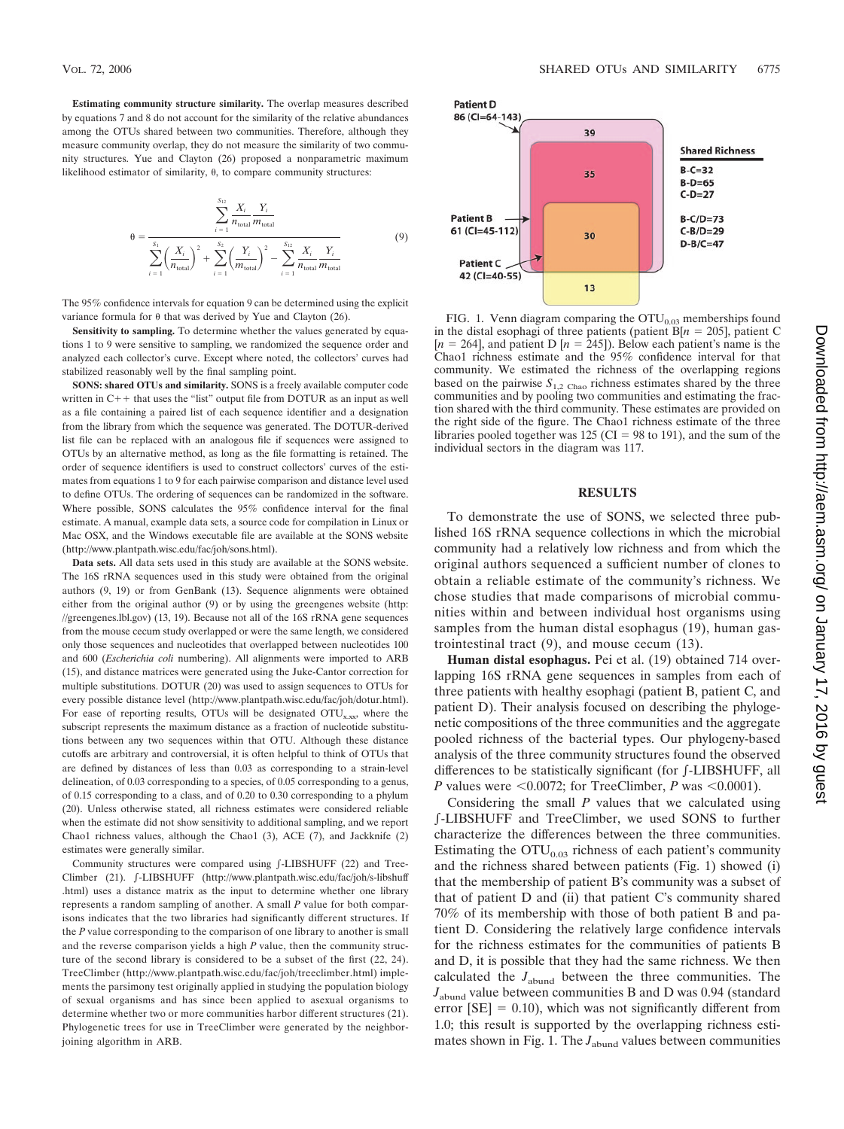**Estimating community structure similarity.** The overlap measures described by equations 7 and 8 do not account for the similarity of the relative abundances among the OTUs shared between two communities. Therefore, although they measure community overlap, they do not measure the similarity of two community structures. Yue and Clayton (26) proposed a nonparametric maximum likelihood estimator of similarity,  $\theta$ , to compare community structures:

$$
\theta = \frac{\sum_{i=1}^{S_{12}} \frac{X_i}{n_{\text{total}}} \frac{Y_i}{m_{\text{total}}}}{\sum_{i=1}^{S_1} \left(\frac{X_i}{n_{\text{total}}}\right)^2 + \sum_{i=1}^{S_2} \left(\frac{Y_i}{m_{\text{total}}}\right)^2 - \sum_{i=1}^{S_{12}} \frac{X_i}{n_{\text{total}}} \frac{Y_i}{m_{\text{total}}}}
$$
(9)

The 95% confidence intervals for equation 9 can be determined using the explicit variance formula for  $\theta$  that was derived by Yue and Clayton (26).

**Sensitivity to sampling.** To determine whether the values generated by equations 1 to 9 were sensitive to sampling, we randomized the sequence order and analyzed each collector's curve. Except where noted, the collectors' curves had stabilized reasonably well by the final sampling point.

**SONS: shared OTUs and similarity.** SONS is a freely available computer code written in  $C++$  that uses the "list" output file from DOTUR as an input as well as a file containing a paired list of each sequence identifier and a designation from the library from which the sequence was generated. The DOTUR-derived list file can be replaced with an analogous file if sequences were assigned to OTUs by an alternative method, as long as the file formatting is retained. The order of sequence identifiers is used to construct collectors' curves of the estimates from equations 1 to 9 for each pairwise comparison and distance level used to define OTUs. The ordering of sequences can be randomized in the software. Where possible, SONS calculates the 95% confidence interval for the final estimate. A manual, example data sets, a source code for compilation in Linux or Mac OSX, and the Windows executable file are available at the SONS website (http://www.plantpath.wisc.edu/fac/joh/sons.html).

**Data sets.** All data sets used in this study are available at the SONS website. The 16S rRNA sequences used in this study were obtained from the original authors (9, 19) or from GenBank (13). Sequence alignments were obtained either from the original author (9) or by using the greengenes website (http: //greengenes.lbl.gov) (13, 19). Because not all of the 16S rRNA gene sequences from the mouse cecum study overlapped or were the same length, we considered only those sequences and nucleotides that overlapped between nucleotides 100 and 600 (*Escherichia coli* numbering). All alignments were imported to ARB (15), and distance matrices were generated using the Juke-Cantor correction for multiple substitutions. DOTUR (20) was used to assign sequences to OTUs for every possible distance level (http://www.plantpath.wisc.edu/fac/joh/dotur.html). For ease of reporting results, OTUs will be designated  $\text{OTU}_{\text{x,xx}}$ , where the subscript represents the maximum distance as a fraction of nucleotide substitutions between any two sequences within that OTU. Although these distance cutoffs are arbitrary and controversial, it is often helpful to think of OTUs that are defined by distances of less than 0.03 as corresponding to a strain-level delineation, of 0.03 corresponding to a species, of 0.05 corresponding to a genus, of 0.15 corresponding to a class, and of 0.20 to 0.30 corresponding to a phylum (20). Unless otherwise stated, all richness estimates were considered reliable when the estimate did not show sensitivity to additional sampling, and we report Chao1 richness values, although the Chao1 (3), ACE (7), and Jackknife (2) estimates were generally similar.

Community structures were compared using  $\int$ -LIBSHUFF (22) and Tree-Climber (21). **f-LIBSHUFF** (http://www.plantpath.wisc.edu/fac/joh/s-libshuff .html) uses a distance matrix as the input to determine whether one library represents a random sampling of another. A small *P* value for both comparisons indicates that the two libraries had significantly different structures. If the *P* value corresponding to the comparison of one library to another is small and the reverse comparison yields a high *P* value, then the community structure of the second library is considered to be a subset of the first (22, 24). TreeClimber (http://www.plantpath.wisc.edu/fac/joh/treeclimber.html) implements the parsimony test originally applied in studying the population biology of sexual organisms and has since been applied to asexual organisms to determine whether two or more communities harbor different structures (21). Phylogenetic trees for use in TreeClimber were generated by the neighborjoining algorithm in ARB.



FIG. 1. Venn diagram comparing the  $\text{OTU}_{0.03}$  memberships found in the distal esophagi of three patients (patient B[ $n = 205$ ], patient C  $[n = 264]$ , and patient D  $[n = 245]$ ). Below each patient's name is the Chao1 richness estimate and the 95% confidence interval for that community. We estimated the richness of the overlapping regions based on the pairwise  $S_{1,2}$  Chao richness estimates shared by the three communities and by pooling two communities and estimating the fraction shared with the third community. These estimates are provided on the right side of the figure. The Chao1 richness estimate of the three libraries pooled together was 125 (CI = 98 to 191), and the sum of the individual sectors in the diagram was 117.

# **RESULTS**

To demonstrate the use of SONS, we selected three published 16S rRNA sequence collections in which the microbial community had a relatively low richness and from which the original authors sequenced a sufficient number of clones to obtain a reliable estimate of the community's richness. We chose studies that made comparisons of microbial communities within and between individual host organisms using samples from the human distal esophagus (19), human gastrointestinal tract (9), and mouse cecum (13).

**Human distal esophagus.** Pei et al. (19) obtained 714 overlapping 16S rRNA gene sequences in samples from each of three patients with healthy esophagi (patient B, patient C, and patient D). Their analysis focused on describing the phylogenetic compositions of the three communities and the aggregate pooled richness of the bacterial types. Our phylogeny-based analysis of the three community structures found the observed differences to be statistically significant (for -LIBSHUFF, all *P* values were  $\leq 0.0072$ ; for TreeClimber, *P* was  $\leq 0.0001$ ).

Considering the small *P* values that we calculated using -LIBSHUFF and TreeClimber, we used SONS to further characterize the differences between the three communities. Estimating the  $\text{OTU}_{0.03}$  richness of each patient's community and the richness shared between patients (Fig. 1) showed (i) that the membership of patient B's community was a subset of that of patient D and (ii) that patient C's community shared 70% of its membership with those of both patient B and patient D. Considering the relatively large confidence intervals for the richness estimates for the communities of patients B and D, it is possible that they had the same richness. We then calculated the *J*abund between the three communities. The  $J<sub>abund</sub>$  value between communities B and D was 0.94 (standard error  $[SE] = 0.10$ ), which was not significantly different from 1.0; this result is supported by the overlapping richness estimates shown in Fig. 1. The  $J<sub>abund</sub>$  values between communities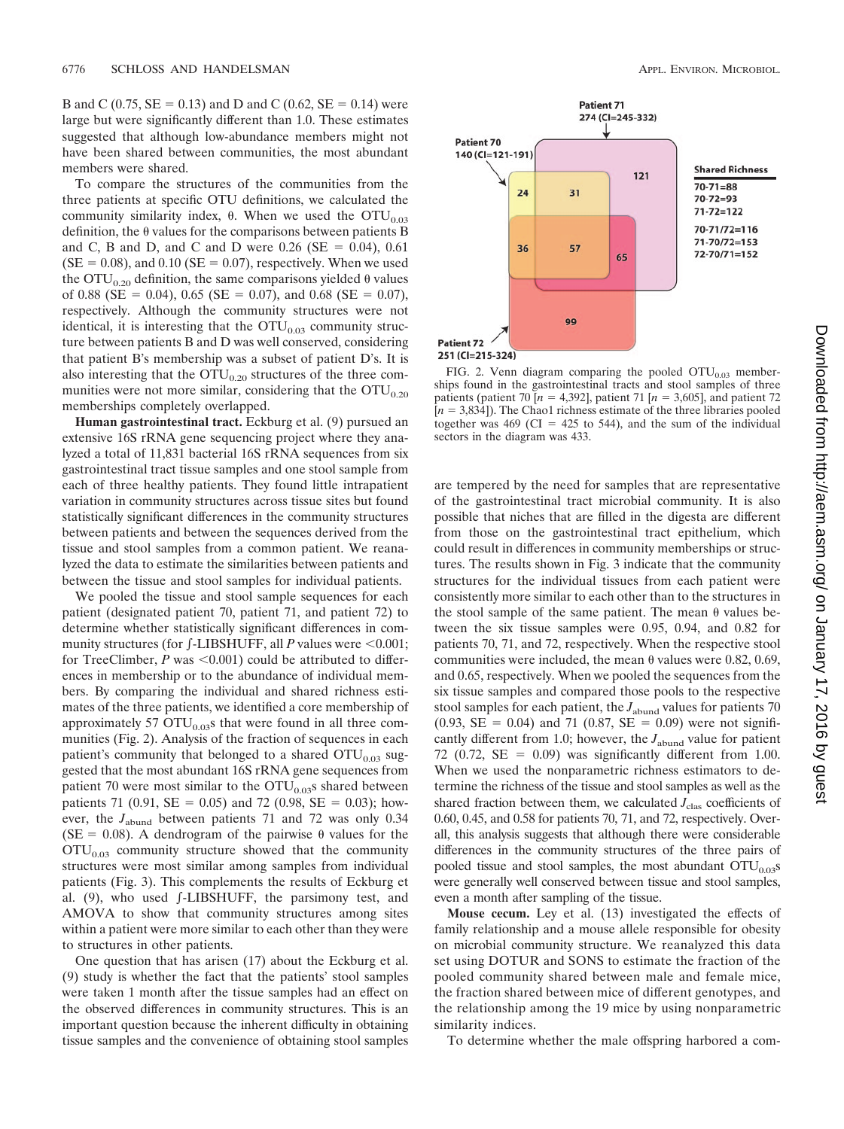B and C (0.75,  $SE = 0.13$ ) and D and C (0.62,  $SE = 0.14$ ) were large but were significantly different than 1.0. These estimates suggested that although low-abundance members might not have been shared between communities, the most abundant members were shared.

To compare the structures of the communities from the three patients at specific OTU definitions, we calculated the community similarity index,  $\theta$ . When we used the OTU<sub>0.03</sub> definition, the  $\theta$  values for the comparisons between patients B and C, B and D, and C and D were  $0.26$  (SE = 0.04), 0.61  $(SE = 0.08)$ , and 0.10 ( $SE = 0.07$ ), respectively. When we used the  $\text{OTU}_{0.20}$  definition, the same comparisons yielded  $\theta$  values of 0.88 (SE = 0.04), 0.65 (SE = 0.07), and 0.68 (SE = 0.07), respectively. Although the community structures were not identical, it is interesting that the  $\text{OTU}_{0.03}$  community structure between patients B and D was well conserved, considering that patient B's membership was a subset of patient D's. It is also interesting that the  $\text{OTU}_{0.20}$  structures of the three communities were not more similar, considering that the  $OTU_{0.20}$ memberships completely overlapped.

**Human gastrointestinal tract.** Eckburg et al. (9) pursued an extensive 16S rRNA gene sequencing project where they analyzed a total of 11,831 bacterial 16S rRNA sequences from six gastrointestinal tract tissue samples and one stool sample from each of three healthy patients. They found little intrapatient variation in community structures across tissue sites but found statistically significant differences in the community structures between patients and between the sequences derived from the tissue and stool samples from a common patient. We reanalyzed the data to estimate the similarities between patients and between the tissue and stool samples for individual patients.

We pooled the tissue and stool sample sequences for each patient (designated patient 70, patient 71, and patient 72) to determine whether statistically significant differences in community structures (for f-LIBSHUFF, all *P* values were <0.001; for TreeClimber,  $P$  was  $\leq 0.001$ ) could be attributed to differences in membership or to the abundance of individual members. By comparing the individual and shared richness estimates of the three patients, we identified a core membership of approximately 57  $\text{OTU}_{0.03}$ s that were found in all three communities (Fig. 2). Analysis of the fraction of sequences in each patient's community that belonged to a shared  $\text{OTU}_{0.03}$  suggested that the most abundant 16S rRNA gene sequences from patient 70 were most similar to the  $OTU<sub>0.03</sub>$ s shared between patients 71 (0.91, SE = 0.05) and 72 (0.98, SE = 0.03); however, the *J*<sub>abund</sub> between patients 71 and 72 was only 0.34 (SE = 0.08). A dendrogram of the pairwise  $\theta$  values for the  $\text{OTU}_{0.03}$  community structure showed that the community structures were most similar among samples from individual patients (Fig. 3). This complements the results of Eckburg et al. (9), who used f-LIBSHUFF, the parsimony test, and AMOVA to show that community structures among sites within a patient were more similar to each other than they were to structures in other patients.

One question that has arisen (17) about the Eckburg et al. (9) study is whether the fact that the patients' stool samples were taken 1 month after the tissue samples had an effect on the observed differences in community structures. This is an important question because the inherent difficulty in obtaining tissue samples and the convenience of obtaining stool samples



FIG. 2. Venn diagram comparing the pooled  $OTU<sub>0.03</sub>$  memberships found in the gastrointestinal tracts and stool samples of three patients (patient 70  $[n = 4,392]$ , patient 71  $[n = 3,605]$ , and patient 72  $[n = 3,834]$ ). The Chao1 richness estimate of the three libraries pooled together was  $469$  (CI = 425 to 544), and the sum of the individual sectors in the diagram was 433.

are tempered by the need for samples that are representative of the gastrointestinal tract microbial community. It is also possible that niches that are filled in the digesta are different from those on the gastrointestinal tract epithelium, which could result in differences in community memberships or structures. The results shown in Fig. 3 indicate that the community structures for the individual tissues from each patient were consistently more similar to each other than to the structures in the stool sample of the same patient. The mean  $\theta$  values between the six tissue samples were 0.95, 0.94, and 0.82 for patients 70, 71, and 72, respectively. When the respective stool communities were included, the mean  $\theta$  values were 0.82, 0.69, and 0.65, respectively. When we pooled the sequences from the six tissue samples and compared those pools to the respective stool samples for each patient, the  $J_{\mathrm{abund}}$  values for patients  $70$  $(0.93, SE = 0.04)$  and 71  $(0.87, SE = 0.09)$  were not significantly different from 1.0; however, the *J*<sub>abund</sub> value for patient 72 (0.72,  $SE = 0.09$ ) was significantly different from 1.00. When we used the nonparametric richness estimators to determine the richness of the tissue and stool samples as well as the shared fraction between them, we calculated  $J<sub>clas</sub>$  coefficients of 0.60, 0.45, and 0.58 for patients 70, 71, and 72, respectively. Overall, this analysis suggests that although there were considerable differences in the community structures of the three pairs of pooled tissue and stool samples, the most abundant  $\text{OTU}_{0.03}\text{s}$ were generally well conserved between tissue and stool samples, even a month after sampling of the tissue.

**Mouse cecum.** Ley et al. (13) investigated the effects of family relationship and a mouse allele responsible for obesity on microbial community structure. We reanalyzed this data set using DOTUR and SONS to estimate the fraction of the pooled community shared between male and female mice, the fraction shared between mice of different genotypes, and the relationship among the 19 mice by using nonparametric similarity indices.

To determine whether the male offspring harbored a com-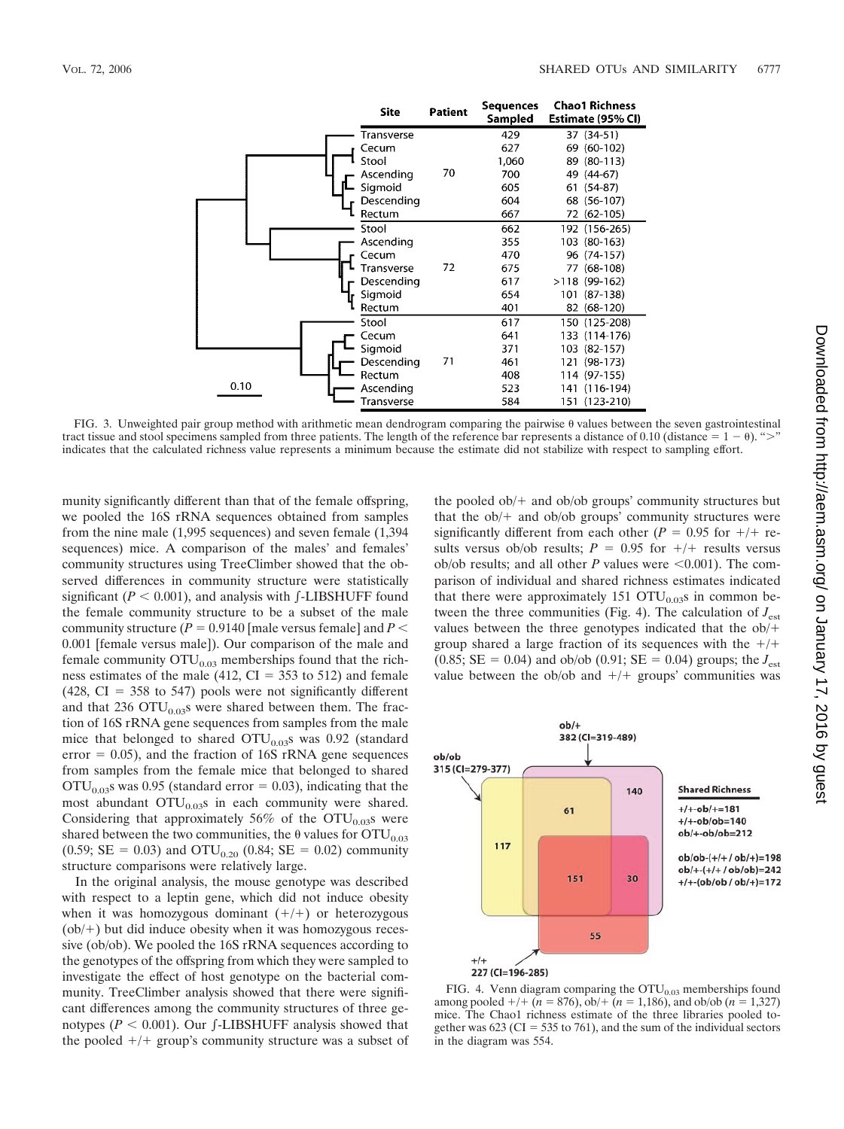|      | <b>Site</b> | <b>Patient</b> | Sequences<br>Sampled | <b>Chao1 Richness</b><br>Estimate (95% CI) |
|------|-------------|----------------|----------------------|--------------------------------------------|
|      | Transverse  |                | 429                  | 37 (34-51)                                 |
|      | Cecum       |                | 627                  | 69 (60-102)                                |
|      | Stool       |                | 1,060                | 89 (80-113)                                |
|      | Ascending   | 70             | 700                  | 49 (44-67)                                 |
|      | Sigmoid     |                | 605                  | 61 (54-87)                                 |
|      | Descending  |                | 604                  | 68 (56-107)                                |
|      | Rectum      |                | 667                  | 72 (62-105)                                |
|      | Stool       |                | 662                  | 192 (156-265)                              |
|      | Ascending   |                | 355                  | 103 (80-163)                               |
|      | Cecum       |                | 470                  | 96 (74-157)                                |
|      | Transverse  | 72             | 675                  | 77 (68-108)                                |
|      | Descending  |                | 617                  | >118 (99-162)                              |
|      | Sigmoid     |                | 654                  | 101 (87-138)                               |
|      | Rectum      |                | 401                  | 82 (68-120)                                |
|      | Stool       |                | 617                  | 150 (125-208)                              |
|      | Cecum       |                | 641                  | 133 (114-176)                              |
|      | Sigmoid     |                | 371                  | 103 (82-157)                               |
|      | Descending  | 71             | 461                  | 121 (98-173)                               |
|      | Rectum      |                | 408                  | 114 (97-155)                               |
| 0.10 | Ascending   |                | 523                  | 141 (116-194)                              |
|      | Transverse  |                | 584                  | 151 (123-210)                              |

FIG. 3. Unweighted pair group method with arithmetic mean dendrogram comparing the pairwise  $\theta$  values between the seven gastrointestinal tract tissue and stool specimens sampled from three patients. The length of the reference bar represents a distance of 0.10 (distance  $= 1 - \theta$ ). ">" indicates that the calculated richness value represents a minimum because the estimate did not stabilize with respect to sampling effort.

munity significantly different than that of the female offspring, we pooled the 16S rRNA sequences obtained from samples from the nine male (1,995 sequences) and seven female (1,394 sequences) mice. A comparison of the males' and females' community structures using TreeClimber showed that the observed differences in community structure were statistically significant ( $P < 0.001$ ), and analysis with  $\int$ -LIBSHUFF found the female community structure to be a subset of the male community structure  $(P = 0.9140$  [male versus female] and  $P <$ 0.001 [female versus male]). Our comparison of the male and female community  $\text{OTU}_{0.03}$  memberships found that the richness estimates of the male (412,  $CI = 353$  to 512) and female  $(428, CI = 358$  to 547) pools were not significantly different and that 236  $\text{OTU}_{0.03}$ s were shared between them. The fraction of 16S rRNA gene sequences from samples from the male mice that belonged to shared  $\text{OTU}_{0.03}$ s was 0.92 (standard error  $= 0.05$ ), and the fraction of 16S rRNA gene sequences from samples from the female mice that belonged to shared  $\text{OTU}_{0.03}$ s was 0.95 (standard error = 0.03), indicating that the most abundant  $\text{OTU}_{0.03}$ s in each community were shared. Considering that approximately 56% of the  $OTU<sub>0.03</sub>$ s were shared between the two communities, the  $\theta$  values for OTU<sub>0.03</sub> (0.59; SE = 0.03) and OTU<sub>0.20</sub> (0.84; SE = 0.02) community structure comparisons were relatively large.

In the original analysis, the mouse genotype was described with respect to a leptin gene, which did not induce obesity when it was homozygous dominant  $(+/+)$  or heterozygous  $(obj+)$  but did induce obesity when it was homozygous recessive (ob/ob). We pooled the 16S rRNA sequences according to the genotypes of the offspring from which they were sampled to investigate the effect of host genotype on the bacterial community. TreeClimber analysis showed that there were significant differences among the community structures of three genotypes ( $P < 0.001$ ). Our  $\int$ -LIBSHUFF analysis showed that the pooled  $+/+$  group's community structure was a subset of the pooled  $obj+$  and  $obj$  groups' community structures but that the  $ob/+$  and  $ob/ob$  groups' community structures were significantly different from each other ( $P = 0.95$  for  $+/+$  results versus ob/ob results;  $P = 0.95$  for  $+/+$  results versus ob/ob results; and all other  $P$  values were  $\leq 0.001$ ). The comparison of individual and shared richness estimates indicated that there were approximately 151  $\text{OTU}_{0.03}$ s in common between the three communities (Fig. 4). The calculation of  $J_{est}$ values between the three genotypes indicated that the ob/ group shared a large fraction of its sequences with the  $+/+$  $(0.85; SE = 0.04)$  and ob/ob  $(0.91; SE = 0.04)$  groups; the  $J_{est}$ value between the ob/ob and  $+/+$  groups' communities was



FIG. 4. Venn diagram comparing the  $OTU<sub>0.03</sub>$  memberships found among pooled  $+/+ (n = 876)$ , ob/  $+(n = 1,186)$ , and ob/ob (*n* = 1,327) mice. The Chao1 richness estimate of the three libraries pooled together was 623 (CI = 535 to 761), and the sum of the individual sectors in the diagram was 554.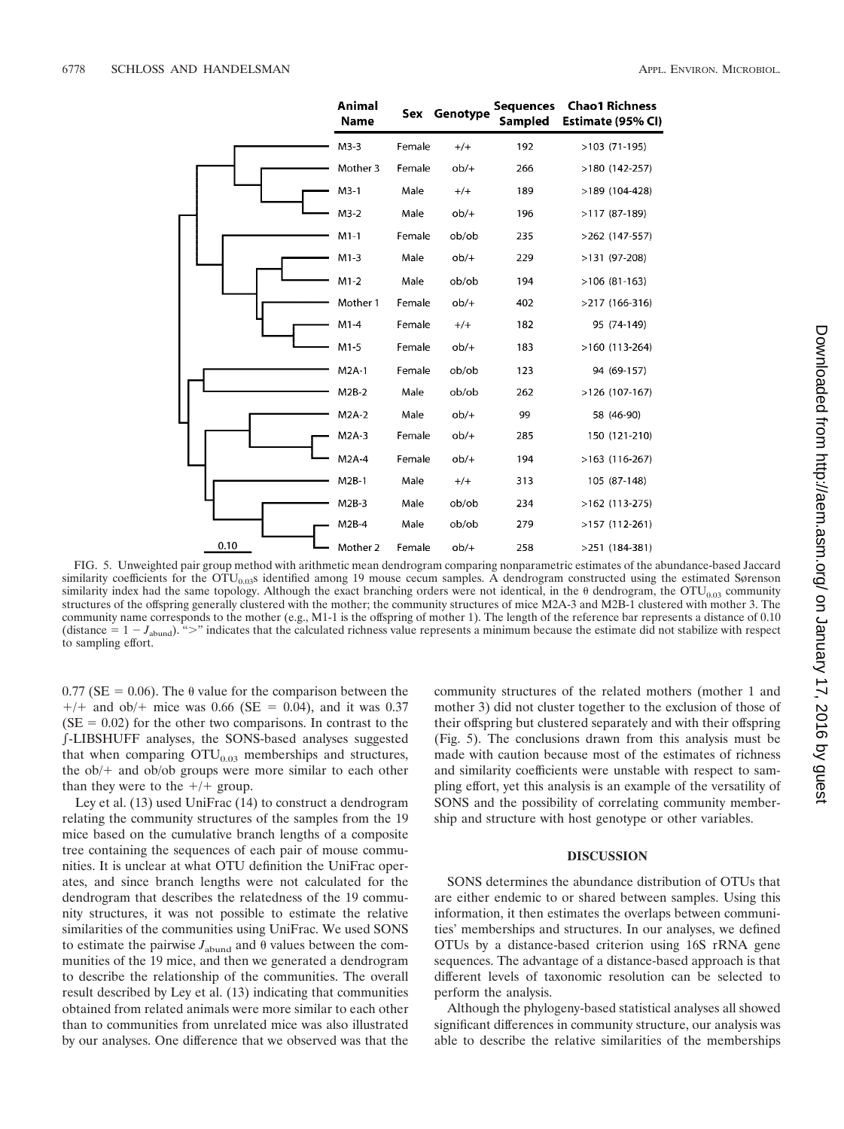|      | <b>Animal</b><br>Name |        | Sex Genotype | <b>Sequences</b><br>Sampled | <b>Chao1 Richness</b><br>Estimate (95% CI) |
|------|-----------------------|--------|--------------|-----------------------------|--------------------------------------------|
|      | $M3-3$                | Female | $^{+/+}$     | 192                         | $>103$ (71-195)                            |
|      | Mother 3              | Female | $ob/+$       | 266                         | $>180(142-257)$                            |
|      | $M3-1$                | Male   | $^{+/+}$     | 189                         | >189 (104-428)                             |
|      | $M3-2$                | Male   | $ob/+$       | 196                         | $>117(87-189)$                             |
|      | $M1-1$                | Female | ob/ob        | 235                         | $>262$ (147-557)                           |
|      | $M1-3$                | Male   | $ob/+$       | 229                         | $>131$ (97-208)                            |
|      | $M1-2$                | Male   | ob/ob        | 194                         | $>106(81-163)$                             |
|      | Mother 1              | Female | $ob/+$       | 402                         | >217 (166-316)                             |
|      | $M1-4$                | Female | $^{+/+}$     | 182                         | 95 (74-149)                                |
|      | $M1-5$                | Female | $ob/+$       | 183                         | $>160$ (113-264)                           |
|      | $M2A-1$               | Female | ob/ob        | 123                         | 94 (69-157)                                |
|      | $M2B-2$               | Male   | ob/ob        | 262                         | >126 (107-167)                             |
|      | $M2A-2$               | Male   | $ob/+$       | 99                          | 58 (46-90)                                 |
|      | $M2A-3$               | Female | $ob/+$       | 285                         | 150 (121-210)                              |
|      | M2A-4                 | Female | $ob/+$       | 194                         | $>163$ (116-267)                           |
|      | $M2B-1$               | Male   | $+/+$        | 313                         | 105 (87-148)                               |
|      | $M2B-3$               | Male   | ob/ob        | 234                         | $>162$ (113-275)                           |
|      | $M2B-4$               | Male   | ob/ob        | 279                         | $>157(112-261)$                            |
| 0.10 | Mother 2              | Female | $ob/+$       | 258                         | $>251$ (184-381)                           |

FIG. 5. Unweighted pair group method with arithmetic mean dendrogram comparing nonparametric estimates of the abundance-based Jaccard similarity coefficients for the OTU<sub>0.03</sub>s identified among 19 mouse cecum samples. A dendrogram constructed using the estimated Sørenson similarity index had the same topology. Although the exact branching orders were not identical, in the  $\theta$  dendrogram, the OTU<sub>0.03</sub> community structures of the offspring generally clustered with the mother; the community structures of mice M2A-3 and M2B-1 clustered with mother 3. The community name corresponds to the mother (e.g., M1-1 is the offspring of mother 1). The length of the reference bar represents a distance of 0.10 (distance  $= 1 - J_{\text{abund}}$ ). ">" indicates that the calculated richness value represents a minimum because the estimate did not stabilize with respect to sampling effort.

 $0.77$  (SE = 0.06). The  $\theta$  value for the comparison between the  $+/+$  and ob/ $+$  mice was 0.66 (SE = 0.04), and it was 0.37  $(SE = 0.02)$  for the other two comparisons. In contrast to the -LIBSHUFF analyses, the SONS-based analyses suggested that when comparing  $\text{OTU}_{0.03}$  memberships and structures, the  $ob/+$  and  $ob/ob$  groups were more similar to each other than they were to the  $+/+$  group.

Ley et al. (13) used UniFrac (14) to construct a dendrogram relating the community structures of the samples from the 19 mice based on the cumulative branch lengths of a composite tree containing the sequences of each pair of mouse communities. It is unclear at what OTU definition the UniFrac operates, and since branch lengths were not calculated for the dendrogram that describes the relatedness of the 19 community structures, it was not possible to estimate the relative similarities of the communities using UniFrac. We used SONS to estimate the pairwise  $J_{\text{abund}}$  and  $\theta$  values between the communities of the 19 mice, and then we generated a dendrogram to describe the relationship of the communities. The overall result described by Ley et al. (13) indicating that communities obtained from related animals were more similar to each other than to communities from unrelated mice was also illustrated by our analyses. One difference that we observed was that the community structures of the related mothers (mother 1 and mother 3) did not cluster together to the exclusion of those of their offspring but clustered separately and with their offspring (Fig. 5). The conclusions drawn from this analysis must be made with caution because most of the estimates of richness and similarity coefficients were unstable with respect to sampling effort, yet this analysis is an example of the versatility of SONS and the possibility of correlating community membership and structure with host genotype or other variables.

## **DISCUSSION**

SONS determines the abundance distribution of OTUs that are either endemic to or shared between samples. Using this information, it then estimates the overlaps between communities' memberships and structures. In our analyses, we defined OTUs by a distance-based criterion using 16S rRNA gene sequences. The advantage of a distance-based approach is that different levels of taxonomic resolution can be selected to perform the analysis.

Although the phylogeny-based statistical analyses all showed significant differences in community structure, our analysis was able to describe the relative similarities of the memberships